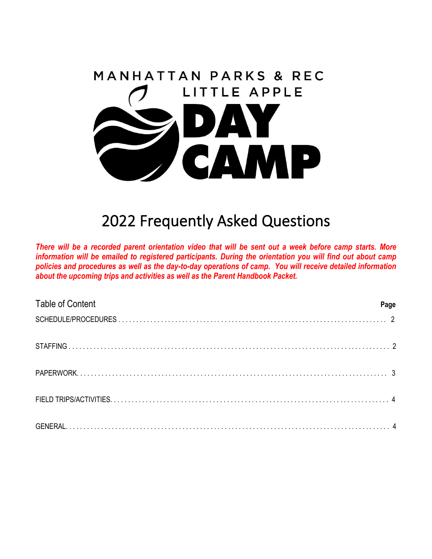

# 2022 Frequently Asked Questions

*There will be a recorded parent orientation video that will be sent out a week before camp starts. More information will be emailed to registered participants. During the orientation you will find out about camp policies and procedures as well as the day-to-day operations of camp. You will receive detailed information about the upcoming trips and activities as well as the Parent Handbook Packet.* 

| <b>Table of Content</b> | Page |
|-------------------------|------|
|                         |      |
|                         |      |
|                         |      |
|                         |      |
|                         |      |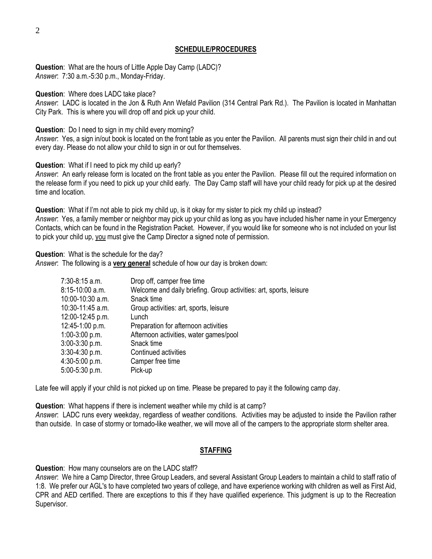## **SCHEDULE/PROCEDURES**

**Question**: What are the hours of Little Apple Day Camp (LADC)? *Answer*: 7:30 a.m.-5:30 p.m., Monday-Friday.

**Question**: Where does LADC take place?

*Answer*: LADC is located in the Jon & Ruth Ann Wefald Pavilion (314 Central Park Rd.). The Pavilion is located in Manhattan City Park. This is where you will drop off and pick up your child.

**Question**: Do I need to sign in my child every morning?

*Answer*: Yes, a sign in/out book is located on the front table as you enter the Pavilion. All parents must sign their child in and out every day. Please do not allow your child to sign in or out for themselves.

**Question**: What if I need to pick my child up early?

*Answer*: An early release form is located on the front table as you enter the Pavilion. Please fill out the required information on the release form if you need to pick up your child early. The Day Camp staff will have your child ready for pick up at the desired time and location.

**Question**: What if I'm not able to pick my child up, is it okay for my sister to pick my child up instead? *Answer*: Yes, a family member or neighbor may pick up your child as long as you have included his/her name in your Emergency Contacts, which can be found in the Registration Packet. However, if you would like for someone who is not included on your list to pick your child up, you must give the Camp Director a signed note of permission.

**Question**: What is the schedule for the day?

*Answer*: The following is a **very general** schedule of how our day is broken down:

| Drop off, camper free time                                         |
|--------------------------------------------------------------------|
| Welcome and daily briefing. Group activities: art, sports, leisure |
| Snack time                                                         |
| Group activities: art, sports, leisure                             |
| Lunch                                                              |
| Preparation for afternoon activities                               |
| Afternoon activities, water games/pool                             |
| Snack time                                                         |
| Continued activities                                               |
| Camper free time                                                   |
| Pick-up                                                            |
|                                                                    |

Late fee will apply if your child is not picked up on time. Please be prepared to pay it the following camp day.

**Question**: What happens if there is inclement weather while my child is at camp?

*Answer*: LADC runs every weekday, regardless of weather conditions. Activities may be adjusted to inside the Pavilion rather than outside. In case of stormy or tornado-like weather, we will move all of the campers to the appropriate storm shelter area.

## **STAFFING**

**Question**: How many counselors are on the LADC staff?

*Answer*: We hire a Camp Director, three Group Leaders, and several Assistant Group Leaders to maintain a child to staff ratio of 1:8. We prefer our AGL's to have completed two years of college, and have experience working with children as well as First Aid, CPR and AED certified. There are exceptions to this if they have qualified experience. This judgment is up to the Recreation Supervisor.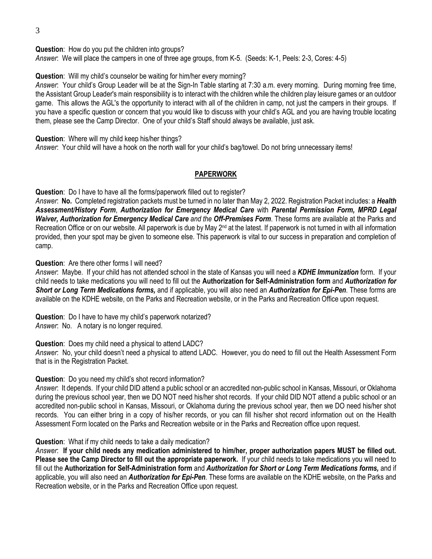**Question**: How do you put the children into groups?

*Answer*: We will place the campers in one of three age groups, from K-5. (Seeds: K-1, Peels: 2-3, Cores: 4-5)

**Question**: Will my child's counselor be waiting for him/her every morning?

*Answer*: Your child's Group Leader will be at the Sign-In Table starting at 7:30 a.m. every morning. During morning free time, the Assistant Group Leader's main responsibility is to interact with the children while the children play leisure games or an outdoor game. This allows the AGL's the opportunity to interact with all of the children in camp, not just the campers in their groups. If you have a specific question or concern that you would like to discuss with your child's AGL and you are having trouble locating them, please see the Camp Director. One of your child's Staff should always be available, just ask.

**Question**: Where will my child keep his/her things?

*Answer*: Your child will have a hook on the north wall for your child's bag/towel. Do not bring unnecessary items!

## **PAPERWORK**

**Question**: Do I have to have all the forms/paperwork filled out to register?

*Answer*: **No.** Completed registration packets must be turned in no later than May 2, 2022. Registration Packet includes: a *Health Assessment/History Form*, *Authorization for Emergency Medical Care* with *Parental Permission Form, MPRD Legal Waiver, Authorization for Emergency Medical Care and the Off-Premises Form*. These forms are available at the Parks and Recreation Office or on our website. All paperwork is due by May 2<sup>nd</sup> at the latest. If paperwork is not turned in with all information provided, then your spot may be given to someone else. This paperwork is vital to our success in preparation and completion of camp.

#### **Question**: Are there other forms I will need?

*Answer*: Maybe. If your child has not attended school in the state of Kansas you will need a *KDHE Immunization* form. If your child needs to take medications you will need to fill out the **Authorization for Self-Administration form** and *Authorization for Short or Long Term Medications forms,* and if applicable, you will also need an *Authorization for Epi-Pen*. These forms are available on the KDHE website, on the Parks and Recreation website, or in the Parks and Recreation Office upon request.

**Question**: Do I have to have my child's paperwork notarized? *Answer*: No. A notary is no longer required.

**Question**: Does my child need a physical to attend LADC?

*Answer*: No, your child doesn't need a physical to attend LADC. However, you do need to fill out the Health Assessment Form that is in the Registration Packet.

#### **Question**: Do you need my child's shot record information?

*Answer*: It depends. If your child DID attend a public school or an accredited non-public school in Kansas, Missouri, or Oklahoma during the previous school year, then we DO NOT need his/her shot records. If your child DID NOT attend a public school or an accredited non-public school in Kansas, Missouri, or Oklahoma during the previous school year, then we DO need his/her shot records. You can either bring in a copy of his/her records, or you can fill his/her shot record information out on the Health Assessment Form located on the Parks and Recreation website or in the Parks and Recreation office upon request.

#### **Question**: What if my child needs to take a daily medication?

*Answer*: **If your child needs any medication administered to him/her, proper authorization papers MUST be filled out. Please see the Camp Director to fill out the appropriate paperwork.** If your child needs to take medications you will need to fill out the **Authorization for Self-Administration form** and *Authorization for Short or Long Term Medications forms,* and if applicable, you will also need an *Authorization for Epi-Pen*. These forms are available on the KDHE website, on the Parks and Recreation website, or in the Parks and Recreation Office upon request.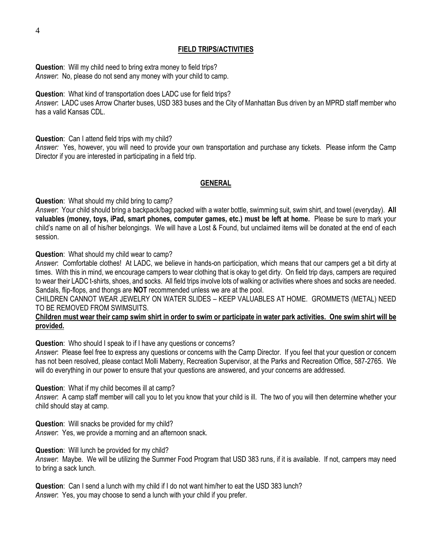**Question**: Will my child need to bring extra money to field trips? *Answer*: No, please do not send any money with your child to camp.

**Question**: What kind of transportation does LADC use for field trips?

*Answer*: LADC uses Arrow Charter buses, USD 383 buses and the City of Manhattan Bus driven by an MPRD staff member who has a valid Kansas CDL.

**Question**: Can I attend field trips with my child?

*Answer:* Yes, however, you will need to provide your own transportation and purchase any tickets. Please inform the Camp Director if you are interested in participating in a field trip.

# **GENERAL**

**Question**: What should my child bring to camp?

*Answer*: Your child should bring a backpack/bag packed with a water bottle, swimming suit, swim shirt, and towel (everyday). **All valuables (money, toys, iPad, smart phones, computer games, etc.) must be left at home.** Please be sure to mark your child's name on all of his/her belongings. We will have a Lost & Found, but unclaimed items will be donated at the end of each session.

**Question**: What should my child wear to camp?

*Answer*: Comfortable clothes! At LADC, we believe in hands-on participation, which means that our campers get a bit dirty at times. With this in mind, we encourage campers to wear clothing that is okay to get dirty. On field trip days, campers are required to wear their LADC t-shirts, shoes, and socks. All field trips involve lots of walking or activities where shoes and socks are needed. Sandals, flip-flops, and thongs are **NOT** recommended unless we are at the pool.

CHILDREN CANNOT WEAR JEWELRY ON WATER SLIDES – KEEP VALUABLES AT HOME. GROMMETS (METAL) NEED TO BE REMOVED FROM SWIMSUITS.

## **Children must wear their camp swim shirt in order to swim or participate in water park activities. One swim shirt will be provided.**

**Question**: Who should I speak to if I have any questions or concerns?

*Answer*: Please feel free to express any questions or concerns with the Camp Director. If you feel that your question or concern has not been resolved, please contact Molli Maberry, Recreation Supervisor, at the Parks and Recreation Office, 587-2765. We will do everything in our power to ensure that your questions are answered, and your concerns are addressed.

**Question**: What if my child becomes ill at camp?

*Answer*: A camp staff member will call you to let you know that your child is ill. The two of you will then determine whether your child should stay at camp.

**Question**: Will snacks be provided for my child? *Answer*: Yes, we provide a morning and an afternoon snack.

**Question**: Will lunch be provided for my child?

*Answer*: Maybe. We will be utilizing the Summer Food Program that USD 383 runs, if it is available. If not, campers may need to bring a sack lunch.

**Question**: Can I send a lunch with my child if I do not want him/her to eat the USD 383 lunch? *Answer*: Yes, you may choose to send a lunch with your child if you prefer.